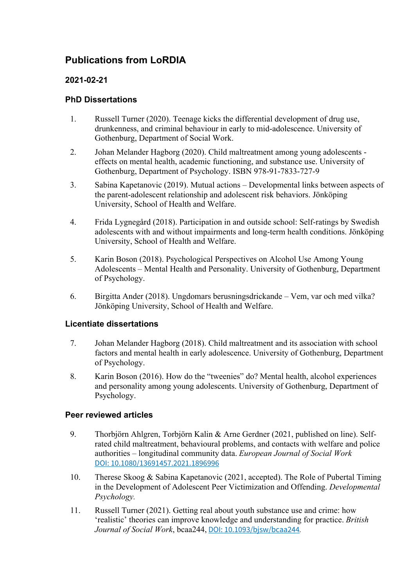# **Publications from LoRDIA**

## **2021-02-21**

## **PhD Dissertations**

- 1. Russell Turner (2020). Teenage kicks the differential development of drug use, drunkenness, and criminal behaviour in early to mid-adolescence. University of Gothenburg, Department of Social Work.
- 2. Johan Melander Hagborg (2020). Child maltreatment among young adolescents effects on mental health, academic functioning, and substance use. University of Gothenburg, Department of Psychology. ISBN 978-91-7833-727-9
- 3. Sabina Kapetanovic (2019). Mutual actions Developmental links between aspects of the parent-adolescent relationship and adolescent risk behaviors. Jönköping University, School of Health and Welfare.
- 4. Frida Lygnegård (2018). Participation in and outside school: Self-ratings by Swedish adolescents with and without impairments and long-term health conditions. Jönköping University, School of Health and Welfare.
- 5. Karin Boson (2018). Psychological Perspectives on Alcohol Use Among Young Adolescents – Mental Health and Personality. University of Gothenburg, Department of Psychology.
- 6. Birgitta Ander (2018). Ungdomars berusningsdrickande Vem, var och med vilka? Jönköping University, School of Health and Welfare.

## **Licentiate dissertations**

- 7. Johan Melander Hagborg (2018). Child maltreatment and its association with school factors and mental health in early adolescence. University of Gothenburg, Department of Psychology.
- 8. Karin Boson (2016). How do the "tweenies" do? Mental health, alcohol experiences and personality among young adolescents. University of Gothenburg, Department of Psychology.

## **Peer reviewed articles**

- 9. Thorbjörn Ahlgren, Torbjörn Kalin & Arne Gerdner (2021, published on line). Selfrated child maltreatment, behavioural problems, and contacts with welfare and police authorities – longitudinal community data. *European Journal of Social Work* DOI: [10.1080/13691457.2021.1896996](https://doi.org/10.1080/13691457.2021.1896996)
- 10. Therese Skoog & Sabina Kapetanovic (2021, accepted). The Role of Pubertal Timing in the Development of Adolescent Peer Victimization and Offending. *Developmental Psychology.*
- 11. Russell Turner (2021). Getting real about youth substance use and crime: how 'realistic' theories can improve knowledge and understanding for practice. *British Journal of Social Work*, bcaa244, DOI: [10.1093/bjsw/bcaa244](https://doi.org/10.1093/bjsw/bcaa244)*.*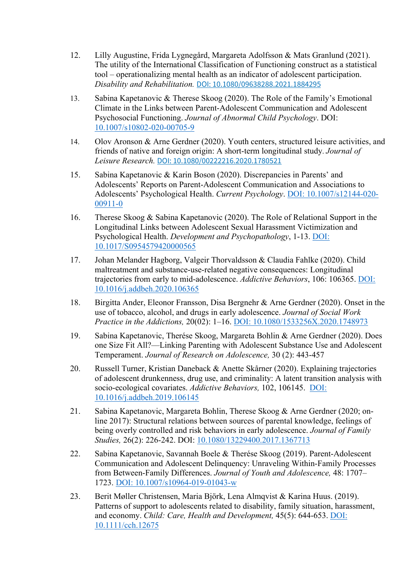- 12. Lilly Augustine, Frida Lygnegård, Margareta Adolfsson & Mats Granlund (2021). The utility of the International Classification of Functioning construct as a statistical tool – operationalizing mental health as an indicator of adolescent participation. *Disability and Rehabilitation.* DOI: [10.1080/09638288.2021.1884295](https://doi.org/10.1080/09638288.2021.1884295)
- 13. Sabina Kapetanovic & Therese Skoog (2020). The Role of the Family's Emotional Climate in the Links between Parent-Adolescent Communication and Adolescent Psychosocial Functioning. *Journal of Abnormal Child Psychology*. DOI: [10.1007/s10802-020-00705-9](https://www.researchgate.net/deref/http%3A%2F%2Fdx.doi.org%2F10.1007%2Fs10802-020-00705-9?_sg%5B0%5D=ZaLN5WvDAgtPhkK-1BPC1GcsyzHgp6I3hOzwaWEEIEf3ZlMKZ6gLGOM6WgeIhLqOAU3yG8sN8m3aYCEdLbjIgA4dUw.JTJ3pnyNCBLD82h5R3bnfPRINECvHI2vCnuAXldlTkzQCrCB2vglOlNlJAK4XyNWj513N4saWgzRcPJsq6orGQ)
- 14. Olov Aronson & Arne Gerdner (2020). Youth centers, structured leisure activities, and friends of native and foreign origin: A short-term longitudinal study. *Journal of Leisure Research.* DOI: [10.1080/00222216.2020.1780521](https://doi.org/10.1080/00222216.2020.1780521)
- 15. Sabina Kapetanovic & Karin Boson (2020). Discrepancies in Parents' and Adolescents' Reports on Parent-Adolescent Communication and Associations to Adolescents' Psychological Health. *Current Psychology*. DOI: [10.1007/s12144-020-](https://www.researchgate.net/deref/http%3A%2F%2Fdx.doi.org%2F10.1007%2Fs12144-020-00911-0?_sg%5B0%5D=aZRbpRAlhb_B6LO0QLie6XoCts2UAbDlmdZUcObdBo80H6ksUdxR7DAiOhfPRqW_igW0F-3gvG41tcsI3FpgZRe6Mg.XrKc-gQoeqE_S5pxizxum40Haa_AlfEU0Q4oV20vQtp-Z6RF6pFAYkImHb2_CbZa3DnCaR4hUJkjj-OCakq94g) [00911-0](https://www.researchgate.net/deref/http%3A%2F%2Fdx.doi.org%2F10.1007%2Fs12144-020-00911-0?_sg%5B0%5D=aZRbpRAlhb_B6LO0QLie6XoCts2UAbDlmdZUcObdBo80H6ksUdxR7DAiOhfPRqW_igW0F-3gvG41tcsI3FpgZRe6Mg.XrKc-gQoeqE_S5pxizxum40Haa_AlfEU0Q4oV20vQtp-Z6RF6pFAYkImHb2_CbZa3DnCaR4hUJkjj-OCakq94g)
- 16. Therese Skoog & Sabina Kapetanovic (2020). The Role of Relational Support in the Longitudinal Links between Adolescent Sexual Harassment Victimization and Psychological Health. *Development and Psychopathology*, 1-13. DOI: [10.1017/S0954579420000565](https://doi.org/10.1017/S0954579420000565)
- 17. Johan Melander Hagborg, Valgeir Thorvaldsson & Claudia Fahlke (2020). Child maltreatment and substance-use-related negative consequences: Longitudinal trajectories from early to mid-adolescence. *[Addictive Behaviors](https://www.sciencedirect.com/science/journal/03064603)*, 106: 106365. [DOI:](https://doi.org/10.1016/j.addbeh.2020.106365)  [10.1016/j.addbeh.2020.106365](https://doi.org/10.1016/j.addbeh.2020.106365)
- 18. Birgitta Ander, Eleonor Fransson, Disa Bergnehr & Arne Gerdner (2020). Onset in the use of tobacco, alcohol, and drugs in early adolescence. *Journal of Social Work Practice in the Addictions,* 20(02): 1–16. [DOI: 10.1080/1533256X.2020.1748973](https://doi.org/10.1080/1533256X.2020.1748973)
- 19. Sabina Kapetanovic, Therése Skoog, Margareta Bohlin & Arne Gerdner (2020). Does one Size Fit All?—Linking Parenting with Adolescent Substance Use and Adolescent Temperament. *Journal of Research on Adolescence,* [30 \(2\)](https://onlinelibrary.wiley.com/toc/15327795/2020/30/S2): 443-457
- 20. [Russell Turner, Kristian Daneback](https://www.sciencedirect.com/science/article/pii/S0306460319303983?casa_token=w7F2qqzxAz8AAAAA:jqfSxFdt-1iL9fR2Uvn_f6Yd8E9AAHdUqeAi22eAdGdfynMPGf08J_9Ffw9GXFSwYDhJKSk0b-g#!) & [Anette Skårner](https://www.sciencedirect.com/science/article/pii/S0306460319303983?casa_token=w7F2qqzxAz8AAAAA:jqfSxFdt-1iL9fR2Uvn_f6Yd8E9AAHdUqeAi22eAdGdfynMPGf08J_9Ffw9GXFSwYDhJKSk0b-g#!) (2020). Explaining trajectories of adolescent drunkenness, drug use, and criminality: A latent transition analysis with socio-ecological covariates. *[Addictive Behaviors,](https://www.sciencedirect.com/science/journal/03064603)* [102,](https://www.sciencedirect.com/science/journal/03064603/102/supp/C) 106145. [DOI:](https://doi.org/10.1016/j.addbeh.2019.106145)  [10.1016/j.addbeh.2019.106145](https://doi.org/10.1016/j.addbeh.2019.106145)
- 21. Sabina Kapetanovic, Margareta Bohlin, Therese Skoog & Arne Gerdner (2020; online 2017): Structural relations between sources of parental knowledge, feelings of being overly controlled and risk behaviors in early adolescence. *Journal of Family Studies,* 26(2): 226-242. DOI: [10.1080/13229400.2017.1367713](https://doi.org/10.1080/13229400.2017.1367713)
- 22. Sabina Kapetanovic, Savannah Boele & Therése Skoog (2019). Parent-Adolescent Communication and Adolescent Delinquency: Unraveling Within-Family Processes from Between-Family Differences. *Journal of Youth and Adolescence,* 48: 1707– 1723. [DOI: 10.1007/s10964-019-01043-w](https://link.springer.com/article/10.1007%2Fs10964-019-01043-w)
- 23. Berit Møller Christensen, Maria Björk, Lena Almqvist & Karina Huus. (2019). Patterns of support to adolescents related to disability, family situation, harassment, and economy. *Child: Care, Health and Development,* [45\(5\)](https://onlinelibrary.wiley.com/toc/13652214/2019/45/5): 644-653. [DOI:](https://doi.org/10.1111/cch.12675)  [10.1111/cch.12675](https://doi.org/10.1111/cch.12675)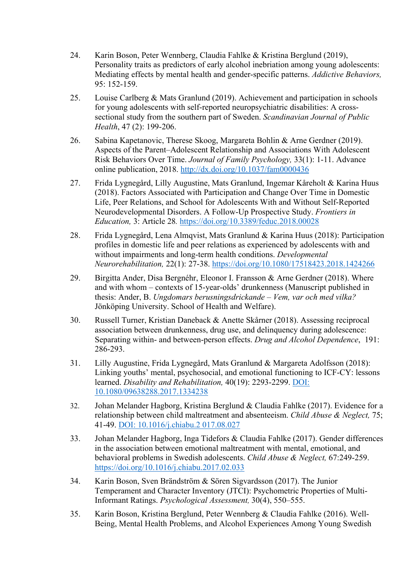- 24. Karin Boson, Peter Wennberg, Claudia Fahlke & Kristina Berglund (2019), Personality traits as predictors of early alcohol inebriation among young adolescents: Mediating effects by mental health and gender-specific patterns. *Addictive Behaviors,* [95:](https://www.sciencedirect.com/science/journal/03064603/95/supp/C) 152-159.
- 25. [Louise Carlberg](https://journals.sagepub.com/doi/full/10.1177/1403494818788415?casa_token=4uj86KrtXmsAAAAA%3AubwZzOaG_QkNym-q081rDgfIq8oZ_lsidZLbk8kVgpFh20NTP8NJvWHHj24srqm1EZmPvSx2PxfpTA) & [Mats Granlund](https://journals.sagepub.com/doi/full/10.1177/1403494818788415?casa_token=4uj86KrtXmsAAAAA%3AubwZzOaG_QkNym-q081rDgfIq8oZ_lsidZLbk8kVgpFh20NTP8NJvWHHj24srqm1EZmPvSx2PxfpTA) (2019). Achievement and participation in schools for young adolescents with self-reported neuropsychiatric disabilities: A crosssectional study from the southern part of Sweden. *Scandinavian Journal of Public Health*, 47 (2): 199-206.
- 26. Sabina Kapetanovic, Therese Skoog, Margareta Bohlin & Arne Gerdner (2019). Aspects of the Parent–Adolescent Relationship and Associations With Adolescent Risk Behaviors Over Time. *Journal of Family Psychology,* 33(1): 1-11. Advance online publication, 2018.<http://dx.doi.org/10.1037/fam0000436>
- 27. [Frida Lygnegård,](http://www.frontiersin.org/people/u/508895) [Lilly Augustine,](http://www.frontiersin.org/people/u/515814) [Mats Granlund,](http://www.frontiersin.org/people/u/345841) [Ingemar Kåreholt](http://www.frontiersin.org/people/u/553022) & Karina Huus (2018). Factors Associated with Participation and Change Over Time in Domestic Life, Peer Relations, and School for Adolescents With and Without Self-Reported Neurodevelopmental Disorders. A Follow-Up Prospective Study. *Frontiers in Education,* 3: Article 28*.* <https://doi.org/10.3389/feduc.2018.00028>
- 28. Frida Lygnegård, Lena Almqvist, Mats Granlund & Karina Huus (2018): Participation profiles in domestic life and peer relations as experienced by adolescents with and without impairments and long-term health conditions. *Developmental Neurorehabilitation,* 22(1): 27-38. <https://doi.org/10.1080/17518423.2018.1424266>
- 29. Birgitta Ander, Disa Bergnéhr, Eleonor I. Fransson & Arne Gerdner (2018). Where and with whom – contexts of 15-year-olds' drunkenness (Manuscript published in thesis: Ander, B. *Ungdomars berusningsdrickande – Vem, var och med vilka?* Jönköping University. School of Health and Welfare).
- 30. Russell Turner, Kristian Daneback & Anette Skårner (2018). Assessing reciprocal association between drunkenness, drug use, and delinquency during adolescence: Separating within- and between-person effects. *Drug and Alcohol Dependence*, [191:](https://www.sciencedirect.com/science/journal/03768716/191/supp/C) 286-293.
- 31. Lilly Augustine, Frida Lygnegård, Mats Granlund & Margareta Adolfsson (2018): Linking youths' mental, psychosocial, and emotional functioning to ICF-CY: lessons learned. *Disability and Rehabilitation,* 40(19): 2293-2299. [DOI:](https://doi.org/10.1080/09638288.2017.1334238)  [10.1080/09638288.2017.1334238](https://doi.org/10.1080/09638288.2017.1334238)
- 32. Johan Melander Hagborg, Kristina Berglund & Claudia Fahlke (2017). Evidence for a relationship between child maltreatment and absenteeism. *Child Abuse & Neglect,* 75; 41-49. [DOI: 10.1016/j.chiabu.2](https://doi.org/10.1016/j.chiabu.2017.08.027) 017.08.027
- 33. Johan Melander Hagborg, Inga Tidefors & Claudia Fahlke (2017). Gender differences in the association between emotional maltreatment with mental, emotional, and behavioral problems in Swedish adolescents. *[Child Abuse & Neglect,](https://www.sciencedirect.com/science/journal/01452134)* [67:](file://ad.hj.se/files/Staff/Restricted/HHJ_LoRDIA_Admin/Delstudier/%C3%96versikt%20%C3%B6ver%20LoRDIA-publikationer/67)249-259. <https://doi.org/10.1016/j.chiabu.2017.02.033>
- 34. Karin Boson, Sven Brändström & Sören Sigvardsson (2017). The Junior Temperament and Character Inventory (JTCI): Psychometric Properties of Multi-Informant Ratings. *Psychological Assessment,* 30(4), 550–555.
- 35. Karin Boson, Kristina Berglund, Peter Wennberg & Claudia Fahlke (2016). Well-Being, Mental Health Problems, and Alcohol Experiences Among Young Swedish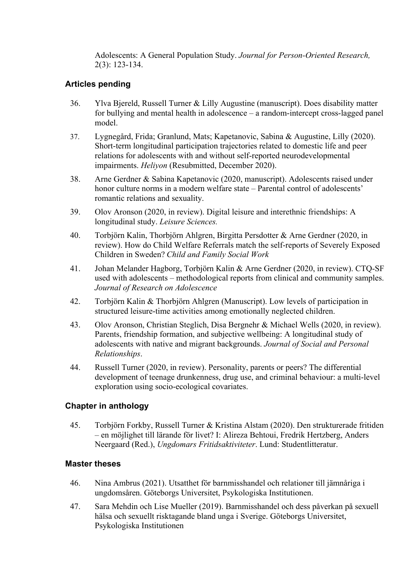Adolescents: A General Population Study. *Journal for Person-Oriented Research,* 2(3): 123-134.

### **Articles pending**

- 36. Ylva Bjereld, Russell Turner & Lilly Augustine (manuscript). Does disability matter for bullying and mental health in adolescence – a random-intercept cross-lagged panel model.
- 37. Lygnegård, Frida; Granlund, Mats; Kapetanovic, Sabina & Augustine, Lilly (2020). Short-term longitudinal participation trajectories related to domestic life and peer relations for adolescents with and without self-reported neurodevelopmental impairments. *Heliyon* (Resubmitted, December 2020).
- 38. Arne Gerdner & Sabina Kapetanovic (2020, manuscript). Adolescents raised under honor culture norms in a modern welfare state – Parental control of adolescents' romantic relations and sexuality.
- 39. Olov Aronson (2020, in review). Digital leisure and interethnic friendships: A longitudinal study. *Leisure Sciences.*
- 40. Torbjörn Kalin, Thorbjörn Ahlgren, Birgitta Persdotter & Arne Gerdner (2020, in review). How do Child Welfare Referrals match the self-reports of Severely Exposed Children in Sweden? *Child and Family Social Work*
- 41. Johan Melander Hagborg, Torbjörn Kalin & Arne Gerdner (2020, in review). CTQ-SF used with adolescents – methodological reports from clinical and community samples. *Journal of Research on Adolescence*
- 42. Torbjörn Kalin & Thorbjörn Ahlgren (Manuscript). Low levels of participation in structured leisure-time activities among emotionally neglected children.
- 43. Olov Aronson, Christian Steglich, Disa Bergnehr & Michael Wells (2020, in review). Parents, friendship formation, and subjective wellbeing: A longitudinal study of adolescents with native and migrant backgrounds. *Journal of Social and Personal Relationships*.
- 44. Russell Turner (2020, in review). Personality, parents or peers? The differential development of teenage drunkenness, drug use, and criminal behaviour: a multi-level exploration using socio-ecological covariates.

#### **Chapter in anthology**

45. Torbjörn Forkby, Russell Turner & Kristina Alstam (2020). Den strukturerade fritiden – en möjlighet till lärande för livet? I: Alireza Behtoui, Fredrik Hertzberg, Anders Neergaard (Red.), *Ungdomars Fritidsaktiviteter*. Lund: Studentlitteratur.

## **Master theses**

- 46. Nina Ambrus (2021). Utsatthet för barnmisshandel och relationer till jämnåriga i ungdomsåren. Göteborgs Universitet, Psykologiska Institutionen.
- 47. Sara Mehdin och Lise Mueller (2019). Barnmisshandel och dess påverkan på sexuell hälsa och sexuellt risktagande bland unga i Sverige. Göteborgs Universitet, Psykologiska Institutionen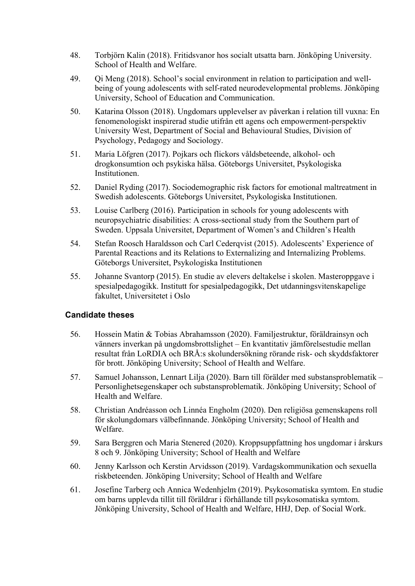- 48. Torbjörn Kalin (2018). Fritidsvanor hos socialt utsatta barn. Jönköping University. School of Health and Welfare.
- 49. Qi Meng (2018). School's social environment in relation to participation and wellbeing of young adolescents with self-rated neurodevelopmental problems. Jönköping University, School of Education and Communication.
- 50. Katarina Olsson (2018). Ungdomars upplevelser av påverkan i relation till vuxna: En fenomenologiskt inspirerad studie utifrån ett agens och empowerment-perspektiv University West, Department of Social and Behavioural Studies, Division of Psychology, Pedagogy and Sociology.
- 51. Maria Löfgren (2017). Pojkars och flickors våldsbeteende, alkohol- och drogkonsumtion och psykiska hälsa. Göteborgs Universitet, Psykologiska Institutionen.
- 52. Daniel Ryding (2017). Sociodemographic risk factors for emotional maltreatment in Swedish adolescents. Göteborgs Universitet, Psykologiska Institutionen.
- 53. Louise Carlberg (2016). Participation in schools for young adolescents with neuropsychiatric disabilities: A cross-sectional study from the Southern part of Sweden. Uppsala Universitet, Department of Women's and Children's Health
- 54. Stefan Roosch Haraldsson och Carl Cederqvist (2015). Adolescents' Experience of Parental Reactions and its Relations to Externalizing and Internalizing Problems. Göteborgs Universitet, Psykologiska Institutionen
- 55. Johanne Svantorp (2015). En studie av elevers deltakelse i skolen. Masteroppgave i spesialpedagogikk. Institutt for spesialpedagogikk, Det utdanningsvitenskapelige fakultet, Universitetet i Oslo

## **Candidate theses**

- 56. Hossein Matin & Tobias Abrahamsson (2020). Familjestruktur, föräldrainsyn och vänners inverkan på ungdomsbrottslighet – En kvantitativ jämförelsestudie mellan resultat från LoRDIA och BRÅ:s skolundersökning rörande risk- och skyddsfaktorer för brott. Jönköping University; School of Health and Welfare.
- 57. Samuel Johansson, Lennart Lilja (2020). Barn till förälder med substansproblematik Personlighetsegenskaper och substansproblematik. Jönköping University; School of Health and Welfare.
- 58. Christian Andréasson och Linnéa Engholm (2020). Den religiösa gemenskapens roll för skolungdomars välbefinnande. Jönköping University; School of Health and Welfare.
- 59. Sara Berggren och Maria Stenered (2020). Kroppsuppfattning hos ungdomar i årskurs 8 och 9. Jönköping University; School of Health and Welfare
- 60. Jenny Karlsson och Kerstin Arvidsson (2019). Vardagskommunikation och sexuella riskbeteenden. Jönköping University; School of Health and Welfare
- 61. Josefine Tarberg och Annica Wedenhjelm (2019). Psykosomatiska symtom. En studie om barns upplevda tillit till föräldrar i förhållande till psykosomatiska symtom. Jönköping University, School of Health and Welfare, HHJ, Dep. of Social Work.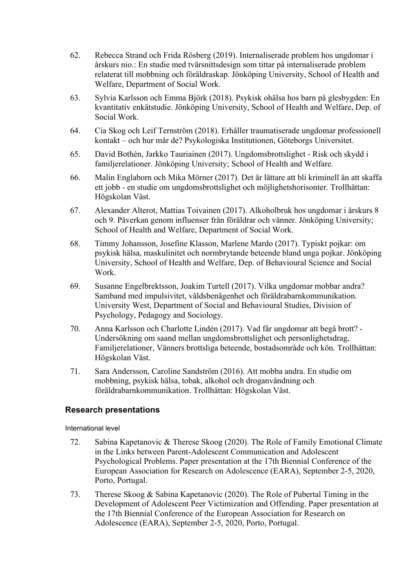- 62. Rebecca Strand och Frida Rösberg (2019). Internaliserade problem hos ungdomar i årskurs nio.: En studie med tvärsnittsdesign som tittar på internaliserade problem relaterat till mobbning och föräldraskap. Jönköping University, School of Health and Welfare, Department of Social Work.
- 63. Sylvia Karlsson och Emma Björk (2018). Psykisk ohälsa hos barn på glesbygden: En kvantitativ enkätstudie. Jönköping University, School of Health and Welfare, Dep. of Social Work.
- 64. Cia Skog och Leif Ternström (2018). Erhåller traumatiserade ungdomar professionell kontakt – och hur mår de? Psykologiska Institutionen, Göteborgs Universitet.
- 65. David Bothén, Jarkko Tauriainen (2017). Ungdomsbrottslighet Risk och skydd i familjerelationer. Jönköping University; School of Health and Welfare.
- 66. Malin Englaborn och Mika Mörner (2017). Det är lättare att bli kriminell än att skaffa ett jobb - en studie om ungdomsbrottslighet och möjlighetshorisonter. Trollhättan: Högskolan Väst.
- 67. Alexander Alterot, Mattias Toivainen (2017). Alkoholbruk hos ungdomar i årskurs 8 och 9. Påverkan genom influenser från föräldrar och vänner. Jönköping University; School of Health and Welfare, Department of Social Work.
- 68. Timmy Johansson, Josefine Klasson, Marlene Mardo (2017). Typiskt pojkar: om psykisk hälsa, maskulinitet och normbrytande beteende bland unga pojkar. Jönköping University, School of Health and Welfare, Dep. of Behavioural Science and Social Work.
- 69. Susanne Engelbrektsson, Joakim Turtell (2017). Vilka ungdomar mobbar andra? Samband med impulsivitet, våldsbenägenhet och föräldrabarnkommunikation. University West, Department of Social and Behavioural Studies, Division of Psychology, Pedagogy and Sociology.
- 70. Anna Karlsson och Charlotte Lindén (2017). Vad får ungdomar att begå brott? Undersökning om saand mellan ungdomsbrottslighet och personlighetsdrag, Familjerelationer, Vänners brottsliga beteende, bostadsområde och kön. Trollhättan: Högskolan Väst.
- 71. Sara Andersson, Caroline Sandström (2016). Att mobba andra. En studie om mobbning, psykisk hälsa, tobak, alkohol och droganvändning och föräldrabarnkommunikation. Trollhättan: Högskolan Väst.

#### **Research presentations**

International level

- 72. Sabina Kapetanovic & Therese Skoog (2020). The Role of Family Emotional Climate in the Links between Parent-Adolescent Communication and Adolescent Psychological Problems. Paper presentation at the 17th Biennial Conference of the European Association for Research on Adolescence (EARA), September 2-5, 2020, Porto, Portugal.
- 73. Therese Skoog & Sabina Kapetanovic (2020). The Role of Pubertal Timing in the Development of Adolescent Peer Victimization and Offending. Paper presentation at the 17th Biennial Conference of the European Association for Research on Adolescence (EARA), September 2-5, 2020, Porto, Portugal.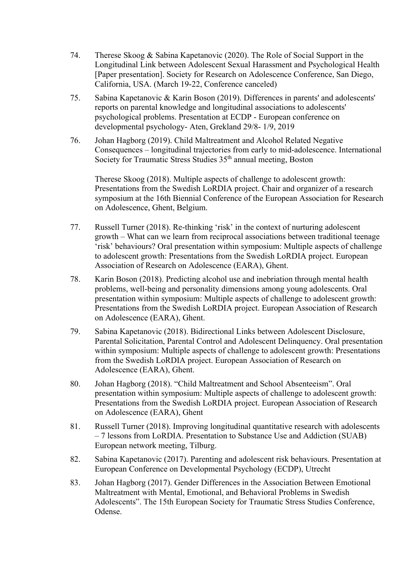- 74. Therese Skoog & Sabina Kapetanovic (2020). The Role of Social Support in the Longitudinal Link between Adolescent Sexual Harassment and Psychological Health [Paper presentation]. Society for Research on Adolescence Conference, San Diego, California, USA. (March 19-22, Conference canceled)
- 75. Sabina Kapetanovic & Karin Boson (2019). Differences in parents' and adolescents' reports on parental knowledge and longitudinal associations to adolescents' psychological problems. Presentation at ECDP - European conference on developmental psychology- Aten, Grekland 29/8- 1/9, 2019
- 76. Johan Hagborg (2019). Child Maltreatment and Alcohol Related Negative Consequences – longitudinal trajectories from early to mid-adolescence. International Society for Traumatic Stress Studies 35<sup>th</sup> annual meeting, Boston

Therese Skoog (2018). Multiple aspects of challenge to adolescent growth: Presentations from the Swedish LoRDIA project. Chair and organizer of a research symposium at the 16th Biennial Conference of the European Association for Research on Adolescence, Ghent, Belgium.

- 77. Russell Turner (2018). Re-thinking 'risk' in the context of nurturing adolescent growth – What can we learn from reciprocal associations between traditional teenage 'risk' behaviours? Oral presentation within symposium: Multiple aspects of challenge to adolescent growth: Presentations from the Swedish LoRDIA project. European Association of Research on Adolescence (EARA), Ghent.
- 78. Karin Boson (2018). Predicting alcohol use and inebriation through mental health problems, well-being and personality dimensions among young adolescents. Oral presentation within symposium: Multiple aspects of challenge to adolescent growth: Presentations from the Swedish LoRDIA project. European Association of Research on Adolescence (EARA), Ghent.
- 79. Sabina Kapetanovic (2018). Bidirectional Links between Adolescent Disclosure, Parental Solicitation, Parental Control and Adolescent Delinquency. Oral presentation within symposium: Multiple aspects of challenge to adolescent growth: Presentations from the Swedish LoRDIA project. European Association of Research on Adolescence (EARA), Ghent.
- 80. Johan Hagborg (2018). "Child Maltreatment and School Absenteeism". Oral presentation within symposium: Multiple aspects of challenge to adolescent growth: Presentations from the Swedish LoRDIA project. European Association of Research on Adolescence (EARA), Ghent
- 81. Russell Turner (2018). Improving longitudinal quantitative research with adolescents – 7 lessons from LoRDIA. Presentation to Substance Use and Addiction (SUAB) European network meeting, Tilburg.
- 82. Sabina Kapetanovic (2017). Parenting and adolescent risk behaviours. Presentation at European Conference on Developmental Psychology (ECDP), Utrecht
- 83. Johan Hagborg (2017). Gender Differences in the Association Between Emotional Maltreatment with Mental, Emotional, and Behavioral Problems in Swedish Adolescents". The 15th European Society for Traumatic Stress Studies Conference, Odense.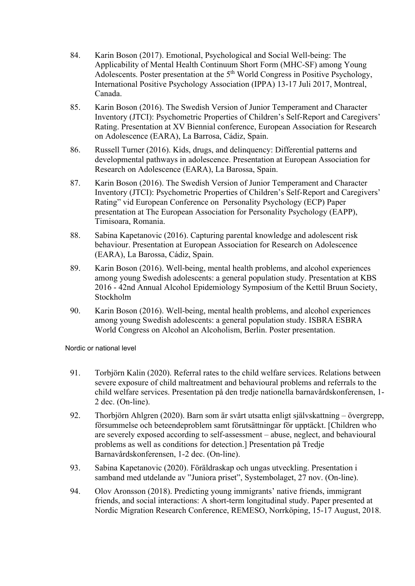- 84. Karin Boson (2017). Emotional, Psychological and Social Well-being: The Applicability of Mental Health Continuum Short Form (MHC-SF) among Young Adolescents. Poster presentation at the 5<sup>th</sup> World Congress in Positive Psychology, International Positive Psychology Association (IPPA) 13-17 Juli 2017, Montreal, Canada.
- 85. Karin Boson (2016). The Swedish Version of Junior Temperament and Character Inventory (JTCI): Psychometric Properties of Children's Self-Report and Caregivers' Rating. Presentation at XV Biennial conference, European Association for Research on Adolescence (EARA), La Barrosa, Cádiz, Spain.
- 86. Russell Turner (2016). Kids, drugs, and delinquency: Differential patterns and developmental pathways in adolescence. Presentation at European Association for Research on Adolescence (EARA), La Barossa, Spain.
- 87. Karin Boson (2016). The Swedish Version of Junior Temperament and Character Inventory (JTCI): Psychometric Properties of Children's Self-Report and Caregivers' Rating" vid European Conference on Personality Psychology (ECP) Paper presentation at The European Association for Personality Psychology (EAPP), Timisoara, Romania.
- 88. Sabina Kapetanovic (2016). Capturing parental knowledge and adolescent risk behaviour. Presentation at European Association for Research on Adolescence (EARA), La Barossa, Cádiz, Spain.
- 89. Karin Boson (2016). Well-being, mental health problems, and alcohol experiences among young Swedish adolescents: a general population study. Presentation at KBS 2016 - 42nd Annual Alcohol Epidemiology Symposium of the Kettil Bruun Society, Stockholm
- 90. Karin Boson (2016). Well-being, mental health problems, and alcohol experiences among young Swedish adolescents: a general population study. ISBRA ESBRA World Congress on Alcohol an Alcoholism, Berlin. Poster presentation.

Nordic or national level

- 91. Torbjörn Kalin (2020). Referral rates to the child welfare services. Relations between severe exposure of child maltreatment and behavioural problems and referrals to the child welfare services. Presentation på den tredje nationella barnavårdskonferensen, 1- 2 dec. (On-line).
- 92. Thorbjörn Ahlgren (2020). Barn som är svårt utsatta enligt självskattning övergrepp, försummelse och beteendeproblem samt förutsättningar för upptäckt. [Children who are severely exposed according to self-assessment – abuse, neglect, and behavioural problems as well as conditions for detection.] Presentation på Tredje Barnavårdskonferensen, 1-2 dec. (On-line).
- 93. Sabina Kapetanovic (2020). Föräldraskap och ungas utveckling. Presentation i samband med utdelande av "Juniora priset", Systembolaget, 27 nov. (On-line).
- 94. Olov Aronsson (2018). Predicting young immigrants' native friends, immigrant friends, and social interactions: A short-term longitudinal study. Paper presented at Nordic Migration Research Conference, REMESO, Norrköping, 15-17 August, 2018.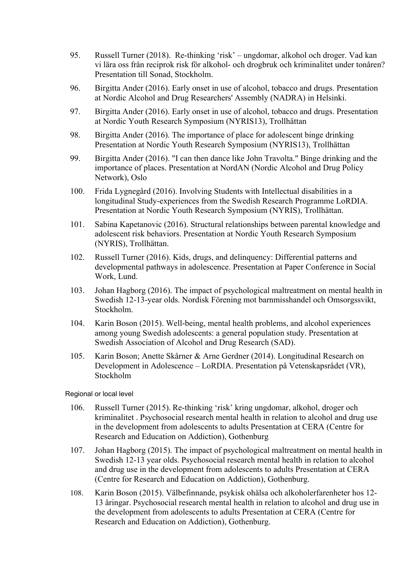- 95. Russell Turner (2018). Re-thinking 'risk' ungdomar, alkohol och droger. Vad kan vi lära oss från reciprok risk för alkohol- och drogbruk och kriminalitet under tonåren? Presentation till Sonad, Stockholm.
- 96. Birgitta Ander (2016). Early onset in use of alcohol, tobacco and drugs. Presentation at Nordic Alcohol and Drug Researchers' Assembly (NADRA) in Helsinki.
- 97. Birgitta Ander (2016). Early onset in use of alcohol, tobacco and drugs. Presentation at Nordic Youth Research Symposium (NYRIS13), Trollhättan
- 98. Birgitta Ander (2016). The importance of place for adolescent binge drinking Presentation at Nordic Youth Research Symposium (NYRIS13), Trollhättan
- 99. Birgitta Ander (2016). "I can then dance like John Travolta." Binge drinking and the importance of places. Presentation at NordAN (Nordic Alcohol and Drug Policy Network), Oslo
- 100. Frida Lygnegård (2016). Involving Students with Intellectual disabilities in a longitudinal Study-experiences from the Swedish Research Programme LoRDIA. Presentation at Nordic Youth Research Symposium (NYRIS), Trollhättan.
- 101. Sabina Kapetanovic (2016). Structural relationships between parental knowledge and adolescent risk behaviors. Presentation at Nordic Youth Research Symposium (NYRIS), Trollhättan.
- 102. Russell Turner (2016). Kids, drugs, and delinquency: Differential patterns and developmental pathways in adolescence. Presentation at Paper Conference in Social Work, Lund.
- 103. Johan Hagborg (2016). The impact of psychological maltreatment on mental health in Swedish 12-13-year olds. Nordisk Förening mot barnmisshandel och Omsorgssvikt, Stockholm.
- 104. Karin Boson (2015). Well-being, mental health problems, and alcohol experiences among young Swedish adolescents: a general population study. Presentation at Swedish Association of Alcohol and Drug Research (SAD).
- 105. Karin Boson; Anette Skårner & Arne Gerdner (2014). Longitudinal Research on Development in Adolescence – LoRDIA. Presentation på Vetenskapsrådet (VR), Stockholm

Regional or local level

- 106. Russell Turner (2015). Re-thinking 'risk' kring ungdomar, alkohol, droger och kriminalitet . Psychosocial research mental health in relation to alcohol and drug use in the development from adolescents to adults Presentation at CERA (Centre for Research and Education on Addiction), Gothenburg
- 107. Johan Hagborg (2015). The impact of psychological maltreatment on mental health in Swedish 12-13 year olds. Psychosocial research mental health in relation to alcohol and drug use in the development from adolescents to adults Presentation at CERA (Centre for Research and Education on Addiction), Gothenburg.
- 108. Karin Boson (2015). Välbefinnande, psykisk ohälsa och alkoholerfarenheter hos 12- 13 åringar. Psychosocial research mental health in relation to alcohol and drug use in the development from adolescents to adults Presentation at CERA (Centre for Research and Education on Addiction), Gothenburg.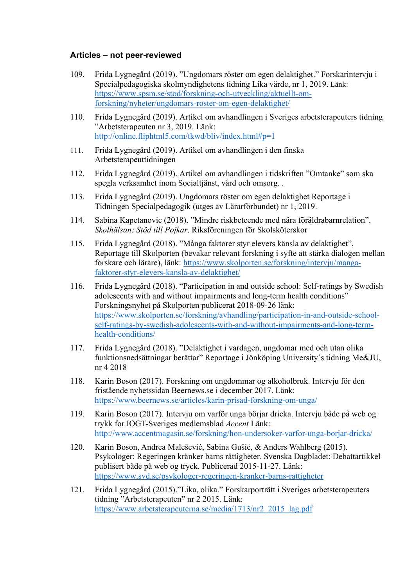#### **Articles – not peer-reviewed**

- 109. Frida Lygnegård (2019). "Ungdomars röster om egen delaktighet." Forskarintervju i Specialpedagogiska skolmyndighetens tidning Lika värde, nr 1, 2019. Länk: [https://www.spsm.se/stod/forskning-och-utveckling/aktuellt-om](https://www.spsm.se/stod/forskning-och-utveckling/aktuellt-om-forskning/nyheter/ungdomars-roster-om-egen-delaktighet/)[forskning/nyheter/ungdomars-roster-om-egen-delaktighet/](https://www.spsm.se/stod/forskning-och-utveckling/aktuellt-om-forskning/nyheter/ungdomars-roster-om-egen-delaktighet/)
- 110. Frida Lygnegård (2019). Artikel om avhandlingen i Sveriges arbetsterapeuters tidning "Arbetsterapeuten nr 3, 2019. Länk: [http://online.fliphtml5.com/tkwd/bliv/index.html#p=1](https://eur02.safelinks.protection.outlook.com/?url=http%3A%2F%2Fonline.fliphtml5.com%2Ftkwd%2Fbliv%2Findex.html%23p%3D1&data=02%7C01%7CArne.Gerdner%40ju.se%7Cd5e50b6a9b8648bcfd8208d7f0f73c8a%7C7564bc8f37384b4dbd575a02ca6215fb%7C0%7C0%7C637242816977403454&sdata=%2Bk6n8mz4duPcVvt6Ew7QZUIyvAQXfMzA6DmLO3yJ8rg%3D&reserved=0)
- 111. Frida Lygnegård (2019). Artikel om avhandlingen i den finska Arbetsterapeuttidningen
- 112. Frida Lygnegård (2019). Artikel om avhandlingen i tidskriften "Omtanke" som ska spegla verksamhet inom Socialtjänst, vård och omsorg. .
- 113. Frida Lygnegård (2019). Ungdomars röster om egen delaktighet Reportage i Tidningen Specialpedagogik (utges av Lärarförbundet) nr 1, 2019.
- 114. Sabina Kapetanovic (2018). "Mindre riskbeteende med nära föräldrabarnrelation". *Skolhälsan: Stöd till Pojkar*. Riksföreningen för Skolsköterskor
- 115. Frida Lygnegård (2018). "Många faktorer styr elevers känsla av delaktighet", Reportage till Skolporten (bevakar relevant forskning i syfte att stärka dialogen mellan forskare och lärare), länk: [https://www.skolporten.se/forskning/intervju/manga](https://eur02.safelinks.protection.outlook.com/?url=https%3A%2F%2Fwww.skolporten.se%2Fforskning%2Fintervju%2Fmanga-faktorer-styr-elevers-kansla-av-delaktighet%2F&data=02%7C01%7CArne.Gerdner%40ju.se%7Cd5e50b6a9b8648bcfd8208d7f0f73c8a%7C7564bc8f37384b4dbd575a02ca6215fb%7C0%7C0%7C637242816977393457&sdata=%2BRPIYwOrMRHvb019T8gENv7Li5%2B8zwk4kwph6AdXuaY%3D&reserved=0)[faktorer-styr-elevers-kansla-av-delaktighet/](https://eur02.safelinks.protection.outlook.com/?url=https%3A%2F%2Fwww.skolporten.se%2Fforskning%2Fintervju%2Fmanga-faktorer-styr-elevers-kansla-av-delaktighet%2F&data=02%7C01%7CArne.Gerdner%40ju.se%7Cd5e50b6a9b8648bcfd8208d7f0f73c8a%7C7564bc8f37384b4dbd575a02ca6215fb%7C0%7C0%7C637242816977393457&sdata=%2BRPIYwOrMRHvb019T8gENv7Li5%2B8zwk4kwph6AdXuaY%3D&reserved=0)
- 116. Frida Lygnegård (2018). "Participation in and outside school: Self-ratings by Swedish adolescents with and without impairments and long-term health conditions" Forskningsnyhet på Skolporten publicerat 2018-09-26 länk: [https://www.skolporten.se/forskning/avhandling/participation-in-and-outside-school](https://eur02.safelinks.protection.outlook.com/?url=https%3A%2F%2Fwww.skolporten.se%2Fforskning%2Favhandling%2Fparticipation-in-and-outside-school-self-ratings-by-swedish-adolescents-with-and-without-impairments-and-long-term-health-conditions%2F&data=02%7C01%7CArne.Gerdner%40ju.se%7Cd5e50b6a9b8648bcfd8208d7f0f73c8a%7C7564bc8f37384b4dbd575a02ca6215fb%7C0%7C0%7C637242816977403454&sdata=OTYD%2BrqXQ9jWNEAtd6nm%2BlxOCfVrp3IUGtsbDQ78p0A%3D&reserved=0)[self-ratings-by-swedish-adolescents-with-and-without-impairments-and-long-term](https://eur02.safelinks.protection.outlook.com/?url=https%3A%2F%2Fwww.skolporten.se%2Fforskning%2Favhandling%2Fparticipation-in-and-outside-school-self-ratings-by-swedish-adolescents-with-and-without-impairments-and-long-term-health-conditions%2F&data=02%7C01%7CArne.Gerdner%40ju.se%7Cd5e50b6a9b8648bcfd8208d7f0f73c8a%7C7564bc8f37384b4dbd575a02ca6215fb%7C0%7C0%7C637242816977403454&sdata=OTYD%2BrqXQ9jWNEAtd6nm%2BlxOCfVrp3IUGtsbDQ78p0A%3D&reserved=0)[health-conditions/](https://eur02.safelinks.protection.outlook.com/?url=https%3A%2F%2Fwww.skolporten.se%2Fforskning%2Favhandling%2Fparticipation-in-and-outside-school-self-ratings-by-swedish-adolescents-with-and-without-impairments-and-long-term-health-conditions%2F&data=02%7C01%7CArne.Gerdner%40ju.se%7Cd5e50b6a9b8648bcfd8208d7f0f73c8a%7C7564bc8f37384b4dbd575a02ca6215fb%7C0%7C0%7C637242816977403454&sdata=OTYD%2BrqXQ9jWNEAtd6nm%2BlxOCfVrp3IUGtsbDQ78p0A%3D&reserved=0)
- 117. Frida Lygnegård (2018). "Delaktighet i vardagen, ungdomar med och utan olika funktionsnedsättningar berättar" Reportage i Jönköping University´s tidning Me&JU, nr 4 2018
- 118. Karin Boson (2017). Forskning om ungdommar og alkoholbruk. Intervju för den fristående nyhetssidan Beernews.se i december 2017. Länk: <https://www.beernews.se/articles/karin-prisad-forskning-om-unga/>
- 119. Karin Boson (2017). Intervju om varför unga börjar dricka. Intervju både på web og trykk for IOGT-Sveriges medlemsblad *Accent* Länk: <http://www.accentmagasin.se/forskning/hon-undersoker-varfor-unga-borjar-dricka/>
- 120. Karin Boson, Andrea Malešević, Sabina Gušić, & Anders Wahlberg (2015). Psykologer: Regeringen kränker barns rättigheter. Svenska Dagbladet: Debattartikkel publisert både på web og tryck. Publicerad 2015-11-27. Länk: <https://www.svd.se/psykologer-regeringen-kranker-barns-rattigheter>
- 121. Frida Lygnegård (2015)."Lika, olika." Forskarporträtt i Sveriges arbetsterapeuters tidning "Arbetsterapeuten" nr 2 2015. Länk: [https://www.arbetsterapeuterna.se/media/1713/nr2\\_2015\\_lag.pdf](https://eur02.safelinks.protection.outlook.com/?url=https%3A%2F%2Fwww.arbetsterapeuterna.se%2Fmedia%2F1713%2Fnr2_2015_lag.pdf&data=02%7C01%7CArne.Gerdner%40ju.se%7Cd5e50b6a9b8648bcfd8208d7f0f73c8a%7C7564bc8f37384b4dbd575a02ca6215fb%7C0%7C0%7C637242816977403454&sdata=l38Tsb5HZUpIaV2NSAD4QcVzvcHqXmCutB3DcMzDPEQ%3D&reserved=0)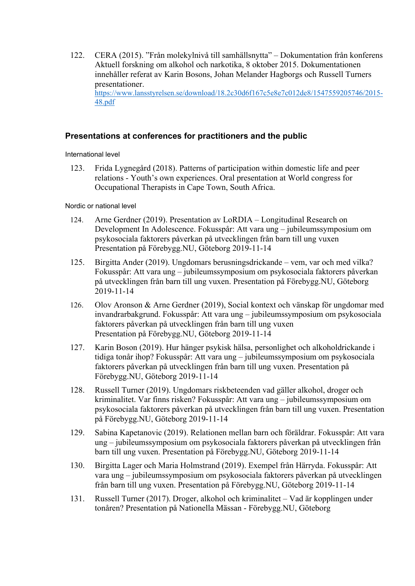122. CERA (2015). "Från molekylnivå till samhällsnytta" – Dokumentation från konferens Aktuell forskning om alkohol och narkotika, 8 oktober 2015. Dokumentationen innehåller referat av Karin Bosons, Johan Melander Hagborgs och Russell Turners presentationer. [https://www.lansstyrelsen.se/download/18.2c30d6f167c5e8e7c012de8/1547559205746/2015-](https://eur02.safelinks.protection.outlook.com/?url=https%3A%2F%2Fwww.lansstyrelsen.se%2Fdownload%2F18.2c30d6f167c5e8e7c012de8%2F1547559205746%2F2015-48.pdf&data=04%7C01%7CArne.Gerdner%40ju.se%7C2aa166135ae8471da80308d8d69be5f1%7C7564bc8f37384b4dbd575a02ca6215fb%7C0%7C1%7C637495312376553219%7CUnknown%7CTWFpbGZsb3d8eyJWIjoiMC4wLjAwMDAiLCJQIjoiV2luMzIiLCJBTiI6Ik1haWwiLCJXVCI6Mn0%3D%7C1000&sdata=hINmFnrgDHlsj7XuGkqf6rbBu%2BQDtEICWPq0SkKVp6Y%3D&reserved=0) [48.pdf](https://eur02.safelinks.protection.outlook.com/?url=https%3A%2F%2Fwww.lansstyrelsen.se%2Fdownload%2F18.2c30d6f167c5e8e7c012de8%2F1547559205746%2F2015-48.pdf&data=04%7C01%7CArne.Gerdner%40ju.se%7C2aa166135ae8471da80308d8d69be5f1%7C7564bc8f37384b4dbd575a02ca6215fb%7C0%7C1%7C637495312376553219%7CUnknown%7CTWFpbGZsb3d8eyJWIjoiMC4wLjAwMDAiLCJQIjoiV2luMzIiLCJBTiI6Ik1haWwiLCJXVCI6Mn0%3D%7C1000&sdata=hINmFnrgDHlsj7XuGkqf6rbBu%2BQDtEICWPq0SkKVp6Y%3D&reserved=0)

#### **Presentations at conferences for practitioners and the public**

International level

123. Frida Lygnegård (2018). Patterns of participation within domestic life and peer relations - Youth's own experiences. Oral presentation at World congress for Occupational Therapists in Cape Town, South Africa.

Nordic or national level

- 124. Arne Gerdner (2019). Presentation av LoRDIA Longitudinal Research on Development In Adolescence. Fokusspår: Att vara ung – jubileumssymposium om psykosociala faktorers påverkan på utvecklingen från barn till ung vuxen Presentation på Förebygg.NU, Göteborg 2019-11-14
- 125. Birgitta Ander (2019). Ungdomars berusningsdrickande vem, var och med vilka? Fokusspår: Att vara ung – jubileumssymposium om psykosociala faktorers påverkan på utvecklingen från barn till ung vuxen. Presentation på Förebygg.NU, Göteborg 2019-11-14
- 126. Olov Aronson & Arne Gerdner (2019), Social kontext och vänskap för ungdomar med invandrarbakgrund. Fokusspår: Att vara ung – jubileumssymposium om psykosociala faktorers påverkan på utvecklingen från barn till ung vuxen Presentation på Förebygg.NU, Göteborg 2019-11-14
- 127. Karin Boson (2019). Hur hänger psykisk hälsa, personlighet och alkoholdrickande i tidiga tonår ihop? Fokusspår: Att vara ung – jubileumssymposium om psykosociala faktorers påverkan på utvecklingen från barn till ung vuxen. Presentation på Förebygg.NU, Göteborg 2019-11-14
- 128. Russell Turner (2019). Ungdomars riskbeteenden vad gäller alkohol, droger och kriminalitet. Var finns risken? Fokusspår: Att vara ung – jubileumssymposium om psykosociala faktorers påverkan på utvecklingen från barn till ung vuxen. Presentation på Förebygg.NU, Göteborg 2019-11-14
- 129. Sabina Kapetanovic (2019). Relationen mellan barn och föräldrar. Fokusspår: Att vara ung – jubileumssymposium om psykosociala faktorers påverkan på utvecklingen från barn till ung vuxen. Presentation på Förebygg.NU, Göteborg 2019-11-14
- 130. Birgitta Lager och Maria Holmstrand (2019). Exempel från Härryda. Fokusspår: Att vara ung – jubileumssymposium om psykosociala faktorers påverkan på utvecklingen från barn till ung vuxen. Presentation på Förebygg.NU, Göteborg 2019-11-14
- 131. Russell Turner (2017). Droger, alkohol och kriminalitet Vad är kopplingen under tonåren? Presentation på Nationella Mässan - Förebygg.NU, Göteborg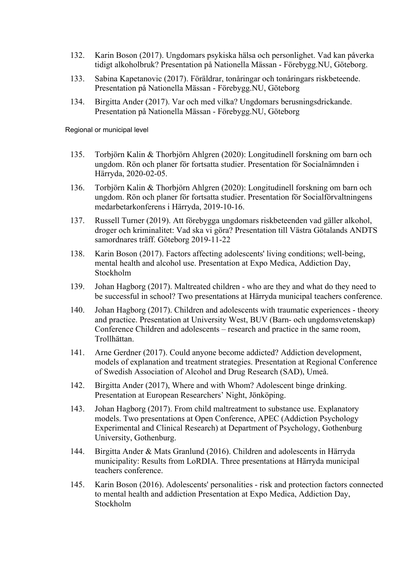- 132. Karin Boson (2017). Ungdomars psykiska hälsa och personlighet. Vad kan påverka tidigt alkoholbruk? Presentation på Nationella Mässan - Förebygg.NU, Göteborg.
- 133. Sabina Kapetanovic (2017). Föräldrar, tonåringar och tonåringars riskbeteende. Presentation på Nationella Mässan - Förebygg.NU, Göteborg
- 134. Birgitta Ander (2017). Var och med vilka? Ungdomars berusningsdrickande. Presentation på Nationella Mässan - Förebygg.NU, Göteborg

Regional or municipal level

- 135. Torbjörn Kalin & Thorbjörn Ahlgren (2020): Longitudinell forskning om barn och ungdom. Rön och planer för fortsatta studier. Presentation för Socialnämnden i Härryda, 2020-02-05.
- 136. Torbjörn Kalin & Thorbjörn Ahlgren (2020): Longitudinell forskning om barn och ungdom. Rön och planer för fortsatta studier. Presentation för Socialförvaltningens medarbetarkonferens i Härryda, 2019-10-16.
- 137. Russell Turner (2019). Att förebygga ungdomars riskbeteenden vad gäller alkohol, droger och kriminalitet: Vad ska vi göra? Presentation till Västra Götalands ANDTS samordnares träff. Göteborg 2019-11-22
- 138. Karin Boson (2017). Factors affecting adolescents' living conditions; well-being, mental health and alcohol use. Presentation at Expo Medica, Addiction Day, Stockholm
- 139. Johan Hagborg (2017). Maltreated children who are they and what do they need to be successful in school? Two presentations at Härryda municipal teachers conference.
- 140. Johan Hagborg (2017). Children and adolescents with traumatic experiences theory and practice. Presentation at University West, BUV (Barn- och ungdomsvetenskap) Conference Children and adolescents – research and practice in the same room, Trollhättan.
- 141. Arne Gerdner (2017). Could anyone become addicted? Addiction development, models of explanation and treatment strategies. Presentation at Regional Conference of Swedish Association of Alcohol and Drug Research (SAD), Umeå.
- 142. Birgitta Ander (2017), Where and with Whom? Adolescent binge drinking. Presentation at European Researchers' Night, Jönköping.
- 143. Johan Hagborg (2017). From child maltreatment to substance use. Explanatory models. Two presentations at Open Conference, APEC (Addiction Psychology Experimental and Clinical Research) at Department of Psychology, Gothenburg University, Gothenburg.
- 144. Birgitta Ander & Mats Granlund (2016). Children and adolescents in Härryda municipality: Results from LoRDIA. Three presentations at Härryda municipal teachers conference.
- 145. Karin Boson (2016). Adolescents' personalities risk and protection factors connected to mental health and addiction Presentation at Expo Medica, Addiction Day, Stockholm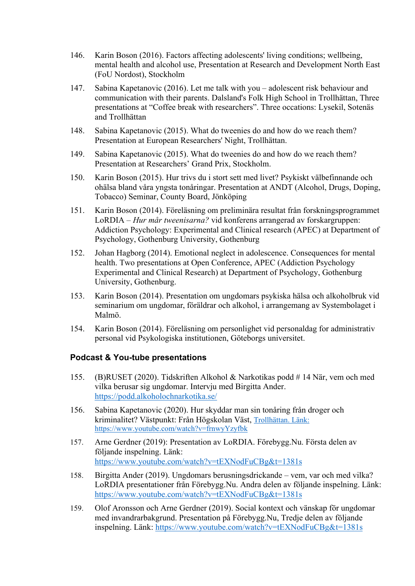- 146. Karin Boson (2016). Factors affecting adolescents' living conditions; wellbeing, mental health and alcohol use, Presentation at Research and Development North East (FoU Nordost), Stockholm
- 147. Sabina Kapetanovic (2016). Let me talk with you adolescent risk behaviour and communication with their parents. Dalsland's Folk High School in Trollhättan, Three presentations at "Coffee break with researchers". Three occations: Lysekil, Sotenäs and Trollhättan
- 148. Sabina Kapetanovic (2015). What do tweenies do and how do we reach them? Presentation at European Researchers' Night, Trollhättan.
- 149. Sabina Kapetanovic (2015). What do tweenies do and how do we reach them? Presentation at Researchers' Grand Prix, Stockholm.
- 150. Karin Boson (2015). Hur trivs du i stort sett med livet? Psykiskt välbefinnande och ohälsa bland våra yngsta tonåringar. Presentation at ANDT (Alcohol, Drugs, Doping, Tobacco) Seminar, County Board, Jönköping
- 151. Karin Boson (2014). Föreläsning om preliminära resultat från forskningsprogrammet LoRDIA – *Hur mår tweenisarna?* vid konferens arrangerad av forskargruppen: Addiction Psychology: Experimental and Clinical research (APEC) at Department of Psychology, Gothenburg University, Gothenburg
- 152. Johan Hagborg (2014). Emotional neglect in adolescence. Consequences for mental health. Two presentations at Open Conference, APEC (Addiction Psychology Experimental and Clinical Research) at Department of Psychology, Gothenburg University, Gothenburg.
- 153. Karin Boson (2014). Presentation om ungdomars psykiska hälsa och alkoholbruk vid seminarium om ungdomar, föräldrar och alkohol, i arrangemang av Systembolaget i Malmö.
- 154. Karin Boson (2014). Föreläsning om personlighet vid personaldag for administrativ personal vid Psykologiska institutionen, Göteborgs universitet.

#### **Podcast & You-tube presentations**

- 155. (B)RUSET (2020). Tidskriften Alkohol & Narkotikas podd # 14 När, vem och med vilka berusar sig ungdomar. Intervju med Birgitta Ander. [https://podd.alkoholochnarkotika.se/](https://eur02.safelinks.protection.outlook.com/?url=https%3A%2F%2Fpodd.alkoholochnarkotika.se%2F&data=02%7C01%7CArne.Gerdner%40ju.se%7Cbbf9b6cc0abe4234e26208d7effbe8e8%7C7564bc8f37384b4dbd575a02ca6215fb%7C0%7C0%7C637241737529446052&sdata=TDBY5p3RTEKO%2B2sfT3tYDw80ndh210%2BZm2x0vXfLECI%3D&reserved=0)
- 156. Sabina Kapetanovic (2020). Hur skyddar man sin tonåring från droger och kriminalitet? Västpunkt: Från Högskolan Väst, Trollhättan. Länk: https://www.youtube.com/watch?v=frnwyYzyfbk
- 157. Arne Gerdner (2019): Presentation av LoRDIA. Förebygg.Nu. Första delen av följande inspelning. Länk: <https://www.youtube.com/watch?v=tEXNodFuCBg&t=1381s>
- 158. Birgitta Ander (2019). Ungdomars berusningsdrickande vem, var och med vilka? LoRDIA presentationer från Förebygg.Nu. Andra delen av följande inspelning. Länk: <https://www.youtube.com/watch?v=tEXNodFuCBg&t=1381s>
- 159. Olof Aronsson och Arne Gerdner (2019). Social kontext och vänskap för ungdomar med invandrarbakgrund. Presentation på Förebygg.Nu, Tredje delen av följande inspelning. Länk:<https://www.youtube.com/watch?v=tEXNodFuCBg&t=1381s>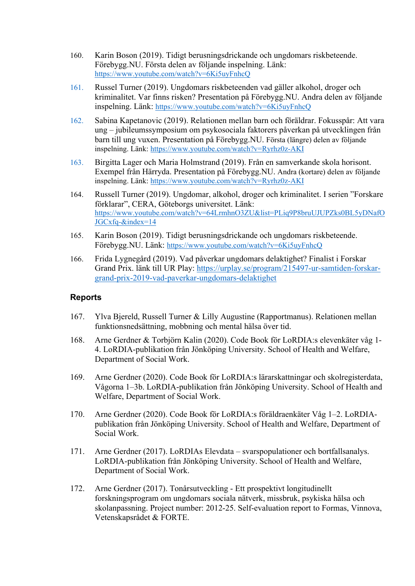- 160. Karin Boson (2019). Tidigt berusningsdrickande och ungdomars riskbeteende. Förebygg.NU. Första delen av följande inspelning. Länk: <https://www.youtube.com/watch?v=6Ki5uyFnhcQ>
- 161. Russel Turner (2019). Ungdomars riskbeteenden vad gäller alkohol, droger och kriminalitet. Var finns risken? Presentation på Förebygg.NU. Andra delen av följande inspelning. Länk: <https://www.youtube.com/watch?v=6Ki5uyFnhcQ>
- 162. Sabina Kapetanovic (2019). Relationen mellan barn och föräldrar. Fokusspår: Att vara ung – jubileumssymposium om psykosociala faktorers påverkan på utvecklingen från barn till ung vuxen. Presentation på Förebygg.NU. Första (längre) delen av följande inspelning. Länk: https://www.youtube.com/watch?v=Ryrhz0z-AKI
- 163. Birgitta Lager och Maria Holmstrand (2019). Från en samverkande skola horisont. Exempel från Härryda. Presentation på Förebygg.NU. Andra (kortare) delen av följande inspelning. Länk: https://www.youtube.com/watch?v=Ryrhz0z-AKI
- 164. Russell Turner (2019). Ungdomar, alkohol, droger och kriminalitet. I serien "Forskare förklarar", CERA, Göteborgs universitet. Länk: [https://www.youtube.com/watch?v=64LrmhnO3ZU&list=PLiq9P8bruUJUPZks0BL5yDNafO](https://eur02.safelinks.protection.outlook.com/?url=https%3A%2F%2Fwww.youtube.com%2Fwatch%3Fv%3D64LrmhnO3ZU%26list%3DPLiq9P8bruUJUPZks0BL5yDNafOJGCxfq-%26index%3D14&data=04%7C01%7CArne.Gerdner%40ju.se%7C7eea713ea17a44cfcf2308d8d59c511d%7C7564bc8f37384b4dbd575a02ca6215fb%7C0%7C1%7C637494214667064459%7CUnknown%7CTWFpbGZsb3d8eyJWIjoiMC4wLjAwMDAiLCJQIjoiV2luMzIiLCJBTiI6Ik1haWwiLCJXVCI6Mn0%3D%7C1000&sdata=HOTqmBG7d11SxU7la%2BVFe2dsk0tnZ%2Bdz23nuK%2BfZaJQ%3D&reserved=0) [JGCxfq-&index=14](https://eur02.safelinks.protection.outlook.com/?url=https%3A%2F%2Fwww.youtube.com%2Fwatch%3Fv%3D64LrmhnO3ZU%26list%3DPLiq9P8bruUJUPZks0BL5yDNafOJGCxfq-%26index%3D14&data=04%7C01%7CArne.Gerdner%40ju.se%7C7eea713ea17a44cfcf2308d8d59c511d%7C7564bc8f37384b4dbd575a02ca6215fb%7C0%7C1%7C637494214667064459%7CUnknown%7CTWFpbGZsb3d8eyJWIjoiMC4wLjAwMDAiLCJQIjoiV2luMzIiLCJBTiI6Ik1haWwiLCJXVCI6Mn0%3D%7C1000&sdata=HOTqmBG7d11SxU7la%2BVFe2dsk0tnZ%2Bdz23nuK%2BfZaJQ%3D&reserved=0)
- 165. Karin Boson (2019). Tidigt berusningsdrickande och ungdomars riskbeteende. Förebygg.NU. Länk:<https://www.youtube.com/watch?v=6Ki5uyFnhcQ>
- 166. Frida Lygnegård (2019). Vad påverkar ungdomars delaktighet? Finalist i Forskar Grand Prix. länk till UR Play: [https://urplay.se/program/215497-ur-samtiden-forskar](https://eur02.safelinks.protection.outlook.com/?url=https%3A%2F%2Furplay.se%2Fprogram%2F215497-ur-samtiden-forskar-grand-prix-2019-vad-paverkar-ungdomars-delaktighet&data=02%7C01%7CArne.Gerdner%40ju.se%7Cd5e50b6a9b8648bcfd8208d7f0f73c8a%7C7564bc8f37384b4dbd575a02ca6215fb%7C0%7C0%7C637242816977383467&sdata=LGTMo0nJfTxWCxpaO1%2FC%2FyHYwyBA0TYIZSAEWUOJjIg%3D&reserved=0)[grand-prix-2019-vad-paverkar-ungdomars-delaktighet](https://eur02.safelinks.protection.outlook.com/?url=https%3A%2F%2Furplay.se%2Fprogram%2F215497-ur-samtiden-forskar-grand-prix-2019-vad-paverkar-ungdomars-delaktighet&data=02%7C01%7CArne.Gerdner%40ju.se%7Cd5e50b6a9b8648bcfd8208d7f0f73c8a%7C7564bc8f37384b4dbd575a02ca6215fb%7C0%7C0%7C637242816977383467&sdata=LGTMo0nJfTxWCxpaO1%2FC%2FyHYwyBA0TYIZSAEWUOJjIg%3D&reserved=0)

#### **Reports**

- 167. Ylva Bjereld, Russell Turner & Lilly Augustine (Rapportmanus). Relationen mellan funktionsnedsättning, mobbning och mental hälsa över tid.
- 168. Arne Gerdner & Torbjörn Kalin (2020). Code Book för LoRDIA:s elevenkäter våg 1- 4. LoRDIA-publikation från Jönköping University. School of Health and Welfare, Department of Social Work.
- 169. Arne Gerdner (2020). Code Book för LoRDIA:s lärarskattningar och skolregisterdata, Vågorna 1–3b. LoRDIA-publikation från Jönköping University. School of Health and Welfare, Department of Social Work.
- 170. Arne Gerdner (2020). Code Book för LoRDIA:s föräldraenkäter Våg 1–2. LoRDIApublikation från Jönköping University. School of Health and Welfare, Department of Social Work.
- 171. Arne Gerdner (2017). LoRDIAs Elevdata svarspopulationer och bortfallsanalys. LoRDIA-publikation från Jönköping University. School of Health and Welfare, Department of Social Work.
- 172. Arne Gerdner (2017). Tonårsutveckling Ett prospektivt longitudinellt forskningsprogram om ungdomars sociala nätverk, missbruk, psykiska hälsa och skolanpassning. Project number: 2012-25. Self-evaluation report to Formas, Vinnova, Vetenskapsrådet & FORTE.